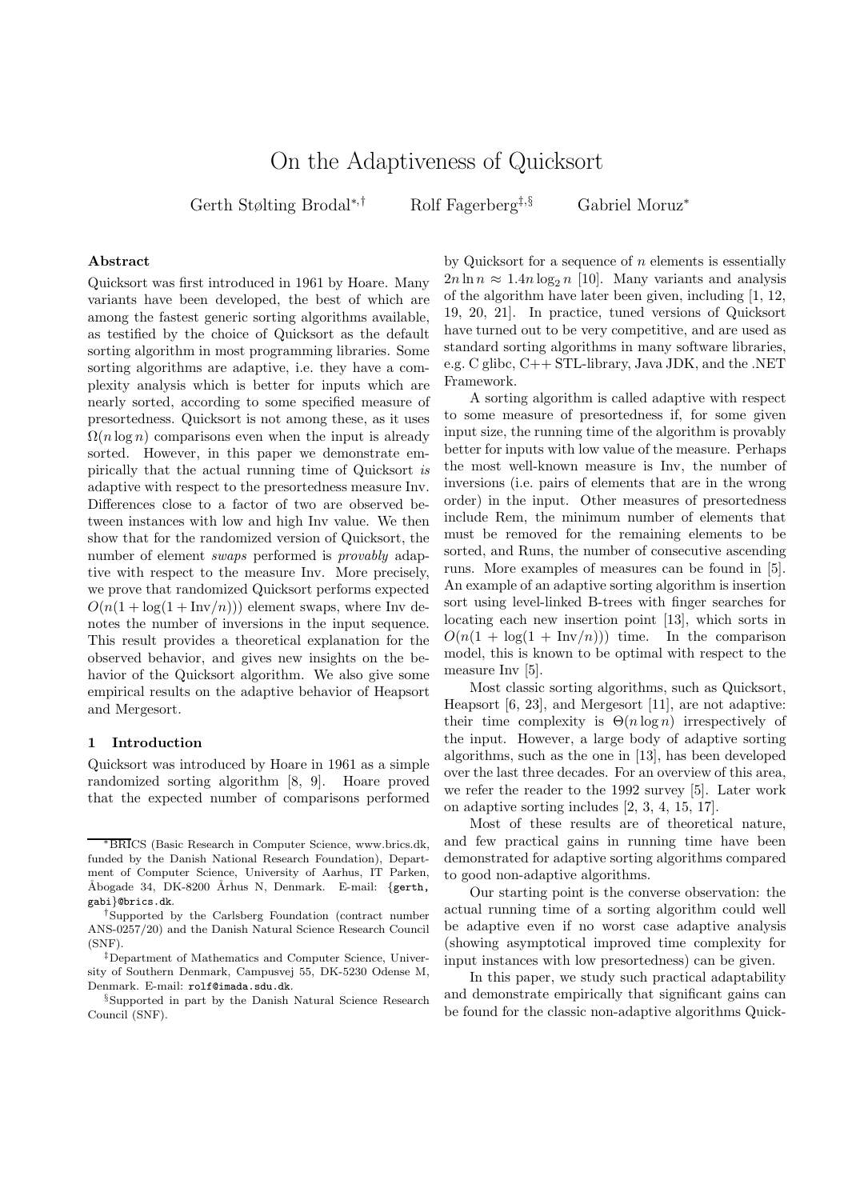# On the Adaptiveness of Quicksort

Gerth Stølting Brodal<sup>∗</sup>,† Rolf Fagerberg‡,§ Gabriel Moruz<sup>∗</sup>

# Abstract

Quicksort was first introduced in 1961 by Hoare. Many variants have been developed, the best of which are among the fastest generic sorting algorithms available, as testified by the choice of Quicksort as the default sorting algorithm in most programming libraries. Some sorting algorithms are adaptive, i.e. they have a complexity analysis which is better for inputs which are nearly sorted, according to some specified measure of presortedness. Quicksort is not among these, as it uses  $\Omega(n \log n)$  comparisons even when the input is already sorted. However, in this paper we demonstrate empirically that the actual running time of Quicksort is adaptive with respect to the presortedness measure Inv. Differences close to a factor of two are observed between instances with low and high Inv value. We then show that for the randomized version of Quicksort, the number of element *swaps* performed is *provably* adaptive with respect to the measure Inv. More precisely, we prove that randomized Quicksort performs expected  $O(n(1 + \log(1 + \text{Inv}/n)))$  element swaps, where Inv denotes the number of inversions in the input sequence. This result provides a theoretical explanation for the observed behavior, and gives new insights on the behavior of the Quicksort algorithm. We also give some empirical results on the adaptive behavior of Heapsort and Mergesort.

#### 1 Introduction

Quicksort was introduced by Hoare in 1961 as a simple randomized sorting algorithm [8, 9]. Hoare proved that the expected number of comparisons performed by Quicksort for a sequence of  $n$  elements is essentially  $2n \ln n \approx 1.4n \log_2 n$  [10]. Many variants and analysis of the algorithm have later been given, including [1, 12, 19, 20, 21]. In practice, tuned versions of Quicksort have turned out to be very competitive, and are used as standard sorting algorithms in many software libraries, e.g. C glibc, C++ STL-library, Java JDK, and the .NET Framework.

A sorting algorithm is called adaptive with respect to some measure of presortedness if, for some given input size, the running time of the algorithm is provably better for inputs with low value of the measure. Perhaps the most well-known measure is Inv, the number of inversions (i.e. pairs of elements that are in the wrong order) in the input. Other measures of presortedness include Rem, the minimum number of elements that must be removed for the remaining elements to be sorted, and Runs, the number of consecutive ascending runs. More examples of measures can be found in [5]. An example of an adaptive sorting algorithm is insertion sort using level-linked B-trees with finger searches for locating each new insertion point [13], which sorts in  $O(n(1 + \log(1 + \text{Inv}/n)))$  time. In the comparison model, this is known to be optimal with respect to the measure Inv [5].

Most classic sorting algorithms, such as Quicksort, Heapsort [6, 23], and Mergesort [11], are not adaptive: their time complexity is  $\Theta(n \log n)$  irrespectively of the input. However, a large body of adaptive sorting algorithms, such as the one in [13], has been developed over the last three decades. For an overview of this area, we refer the reader to the 1992 survey [5]. Later work on adaptive sorting includes [2, 3, 4, 15, 17].

Most of these results are of theoretical nature, and few practical gains in running time have been demonstrated for adaptive sorting algorithms compared to good non-adaptive algorithms.

Our starting point is the converse observation: the actual running time of a sorting algorithm could well be adaptive even if no worst case adaptive analysis (showing asymptotical improved time complexity for input instances with low presortedness) can be given.

In this paper, we study such practical adaptability and demonstrate empirically that significant gains can be found for the classic non-adaptive algorithms Quick-

<sup>∗</sup>BRICS (Basic Research in Computer Science, www.brics.dk, funded by the Danish National Research Foundation), Department of Computer Science, University of Aarhus, IT Parken, Åbogade 34, DK-8200 Århus N, Denmark. E-mail: {gerth, gabi}@brics.dk.

<sup>†</sup>Supported by the Carlsberg Foundation (contract number ANS-0257/20) and the Danish Natural Science Research Council (SNF).

<sup>‡</sup>Department of Mathematics and Computer Science, University of Southern Denmark, Campusvej 55, DK-5230 Odense M, Denmark. E-mail: rolf@imada.sdu.dk.

<sup>§</sup>Supported in part by the Danish Natural Science Research Council (SNF).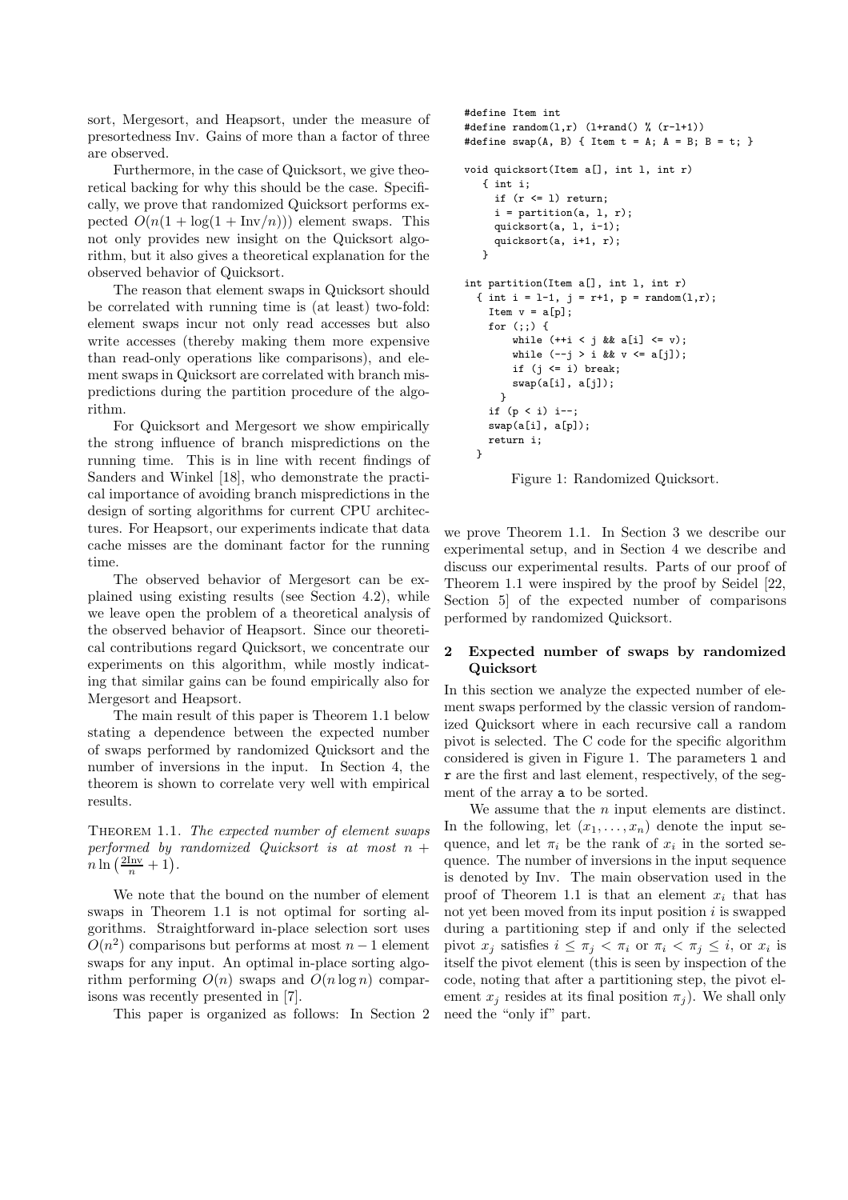sort, Mergesort, and Heapsort, under the measure of presortedness Inv. Gains of more than a factor of three are observed.

Furthermore, in the case of Quicksort, we give theoretical backing for why this should be the case. Specifically, we prove that randomized Quicksort performs expected  $O(n(1 + \log(1 + \text{Inv}/n)))$  element swaps. This not only provides new insight on the Quicksort algorithm, but it also gives a theoretical explanation for the observed behavior of Quicksort.

The reason that element swaps in Quicksort should be correlated with running time is (at least) two-fold: element swaps incur not only read accesses but also write accesses (thereby making them more expensive than read-only operations like comparisons), and element swaps in Quicksort are correlated with branch mispredictions during the partition procedure of the algorithm.

For Quicksort and Mergesort we show empirically the strong influence of branch mispredictions on the running time. This is in line with recent findings of Sanders and Winkel [18], who demonstrate the practical importance of avoiding branch mispredictions in the design of sorting algorithms for current CPU architectures. For Heapsort, our experiments indicate that data cache misses are the dominant factor for the running time.

The observed behavior of Mergesort can be explained using existing results (see Section 4.2), while we leave open the problem of a theoretical analysis of the observed behavior of Heapsort. Since our theoretical contributions regard Quicksort, we concentrate our experiments on this algorithm, while mostly indicating that similar gains can be found empirically also for Mergesort and Heapsort.

The main result of this paper is Theorem 1.1 below stating a dependence between the expected number of swaps performed by randomized Quicksort and the number of inversions in the input. In Section 4, the theorem is shown to correlate very well with empirical results.

THEOREM 1.1. The expected number of element swaps performed by randomized Quicksort is at most  $n +$  $n \ln \left( \frac{2 \text{Inv}}{n} + 1 \right).$ 

We note that the bound on the number of element swaps in Theorem 1.1 is not optimal for sorting algorithms. Straightforward in-place selection sort uses  $O(n^2)$  comparisons but performs at most  $n-1$  element swaps for any input. An optimal in-place sorting algorithm performing  $O(n)$  swaps and  $O(n \log n)$  comparisons was recently presented in [7].

This paper is organized as follows: In Section 2

```
#define Item int
#define random(l,r) (l+rand() % (r-l+1))
#define swap(A, B) { Item t = A; A = B; B = t; }
void quicksort(Item a[], int l, int r)
   { int i;
     if (r \leq 1) return;
     i = partition(a, 1, r);
     quicksort(a, l, i-1);
     quicksort(a, i+1, r);
   \mathbf{I}int partition(Item a[], int l, int r)
  { int i = 1-1, j = r+1, p = random(1,r);
    Item v = a[p];
    for (;;) {
        while (+i \leq j \& a[i] \leq v);
        while (-j > i \&& v \leq a[j]);
        if (i \leq i) break;
        swap(a[i], a[j]);
      }
    if (p < i) i--;
    swap(a[i], a[p]);
    return i;
 }
```
Figure 1: Randomized Quicksort.

we prove Theorem 1.1. In Section 3 we describe our experimental setup, and in Section 4 we describe and discuss our experimental results. Parts of our proof of Theorem 1.1 were inspired by the proof by Seidel [22, Section 5] of the expected number of comparisons performed by randomized Quicksort.

# 2 Expected number of swaps by randomized Quicksort

In this section we analyze the expected number of element swaps performed by the classic version of randomized Quicksort where in each recursive call a random pivot is selected. The C code for the specific algorithm considered is given in Figure 1. The parameters l and r are the first and last element, respectively, of the segment of the array a to be sorted.

We assume that the  $n$  input elements are distinct. In the following, let  $(x_1, \ldots, x_n)$  denote the input sequence, and let  $\pi_i$  be the rank of  $x_i$  in the sorted sequence. The number of inversions in the input sequence is denoted by Inv. The main observation used in the proof of Theorem 1.1 is that an element  $x_i$  that has not yet been moved from its input position  $i$  is swapped during a partitioning step if and only if the selected pivot  $x_j$  satisfies  $i \leq \pi_j < \pi_i$  or  $\pi_i < \pi_j \leq i$ , or  $x_i$  is itself the pivot element (this is seen by inspection of the code, noting that after a partitioning step, the pivot element  $x_i$  resides at its final position  $\pi_i$ ). We shall only need the "only if" part.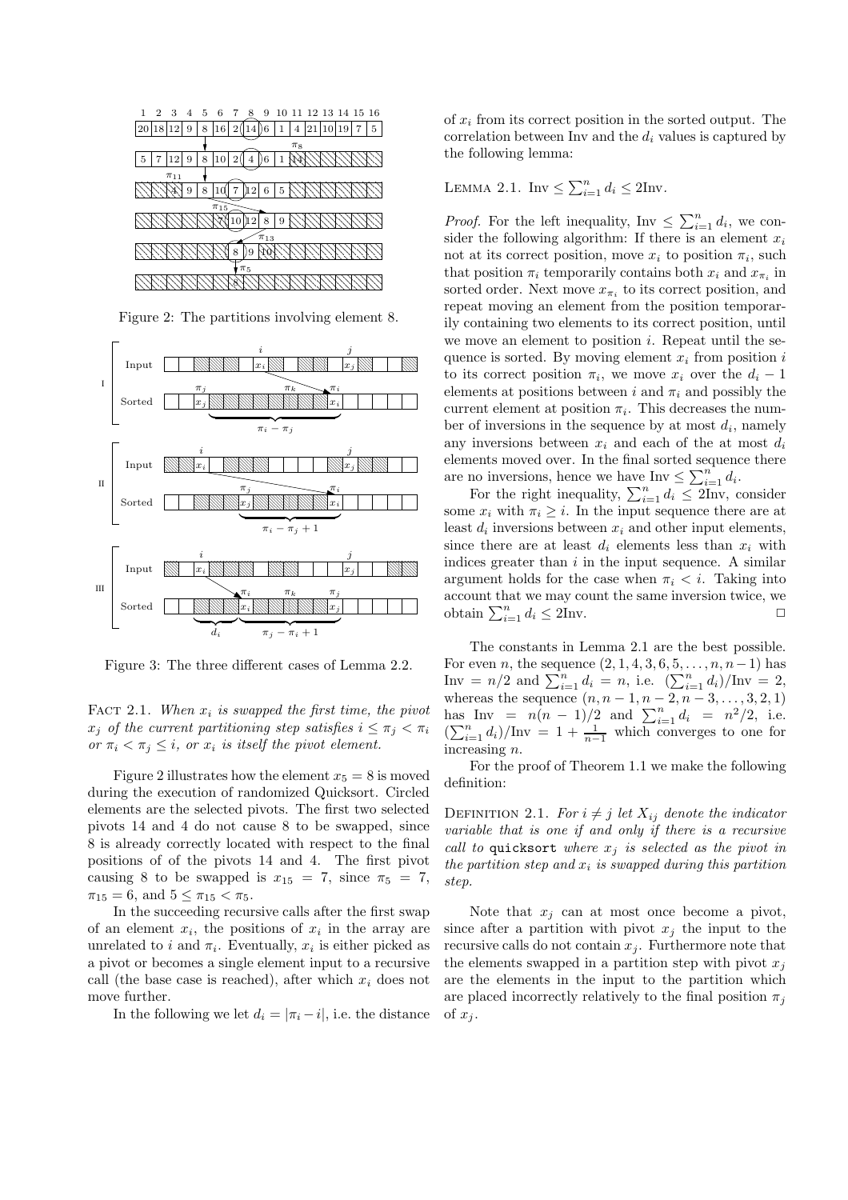

Figure 2: The partitions involving element 8.



Figure 3: The three different cases of Lemma 2.2.

FACT 2.1. When  $x_i$  is swapped the first time, the pivot  $x_i$  of the current partitioning step satisfies  $i \leq \pi_i < \pi_i$ or  $\pi_i < \pi_j \leq i$ , or  $x_i$  is itself the pivot element.

Figure 2 illustrates how the element  $x_5 = 8$  is moved during the execution of randomized Quicksort. Circled elements are the selected pivots. The first two selected pivots 14 and 4 do not cause 8 to be swapped, since 8 is already correctly located with respect to the final positions of of the pivots 14 and 4. The first pivot causing 8 to be swapped is  $x_{15} = 7$ , since  $\pi_5 = 7$ ,  $\pi_{15} = 6$ , and  $5 \leq \pi_{15} < \pi_5$ .

In the succeeding recursive calls after the first swap of an element  $x_i$ , the positions of  $x_i$  in the array are unrelated to i and  $\pi_i$ . Eventually,  $x_i$  is either picked as a pivot or becomes a single element input to a recursive call (the base case is reached), after which  $x_i$  does not move further.

In the following we let  $d_i = |\pi_i - i|$ , i.e. the distance

 the following lemma: of  $x_i$  from its correct position in the sorted output. The correlation between Inv and the  $d_i$  values is captured by

 $\triangle$  EEMMA 2.1. Inv  $\leq \sum_{i=1}^{n} d_i \leq 2$ Inv.

 $P_{\text{root}}$ . For the left inequality, Inv  $\leq \sum_{i=1}^{n} d_i$ , we consider the following algorithm: If there is an element  $x_i$  $\mathbb{R} \times \mathbb{R} \times \mathbb{R} \times \mathbb{R}$  not at its correct position, move  $x_i$  to position  $\pi_i$ , such  $\sum_{i=1}^{n} \sum_{i=1}^{n} \frac{1}{i}$  that position  $\pi_i$  temporarily contains both  $x_i$  and  $x_{\pi_i}$  in  $\frac{1}{N}$  sorted order. Next move  $x_{\pi_i}$  to its correct position, and are no inversions, hence we have  $\text{Inv} \leq \sum_{i=1}^{n} d_i$ .  $\frac{1}{\cancel{1}}$  any inversions between  $x_i$  and each of the at most  $d_i$  $\frac{1}{x}$  elements moved over. In the final sorted sequence there to its correct position  $\pi_i$ , we move  $x_i$  over the  $d_i - 1$  $\lim_{x \to \infty}$   $\lim_{x \to \infty}$   $\lim_{x \to \infty}$  quence is sorted. By moving element  $x_i$  from position i repeat moving an element from the position temporarily containing two elements to its correct position, until we move an element to position  $i$ . Repeat until the seelements at positions between i and  $\pi_i$  and possibly the current element at position  $\pi_i$ . This decreases the number of inversions in the sequence by at most  $d_i$ , namely

argument holds for the case when  $\pi_i < i$ . Taking into  $\frac{1}{\|S\| \cdot \|S\|}$  indices greater than i in the input sequence. A similar For the right inequality,  $\sum_{i=1}^{n} d_i \leq 2$ Inv, consider some  $x_i$  with  $\pi_i \geq i$ . In the input sequence there are at least  $d_i$  inversions between  $x_i$  and other input elements, since there are at least  $d_i$  elements less than  $x_i$  with account that we may count the same inversion twice, we obtain  $\sum_{i=1}^{n} d_i \le 2$ Inv.

> The constants in Lemma 2.1 are the best possible. For even *n*, the sequence  $(2, 1, 4, 3, 6, 5, \ldots, n, n-1)$  has Inv =  $n/2$  and  $\sum_{i=1}^{n} d_i = n$ , i.e.  $(\sum_{i=1}^{n} d_i)/\text{Inv} = 2$ , whereas the sequence  $(n, n-1, n-2, n-3, \ldots, 3, 2, 1)$ has Inv =  $n(n-1)/2$  and  $\sum_{i=1}^{n} d_i = n^2/2$ , i.e.  $(\sum_{i=1}^n d_i)/\text{Inv} = 1 + \frac{1}{n-1}$  which converges to one for increasing n.

> For the proof of Theorem 1.1 we make the following definition:

> DEFINITION 2.1. For  $i \neq j$  let  $X_{ij}$  denote the indicator variable that is one if and only if there is a recursive call to quicksort where  $x_i$  is selected as the pivot in the partition step and  $x_i$  is swapped during this partition step.

> Note that  $x_j$  can at most once become a pivot, since after a partition with pivot  $x_i$  the input to the recursive calls do not contain  $x_i$ . Furthermore note that the elements swapped in a partition step with pivot  $x_i$ are the elements in the input to the partition which are placed incorrectly relatively to the final position  $\pi_i$ of  $x_i$ .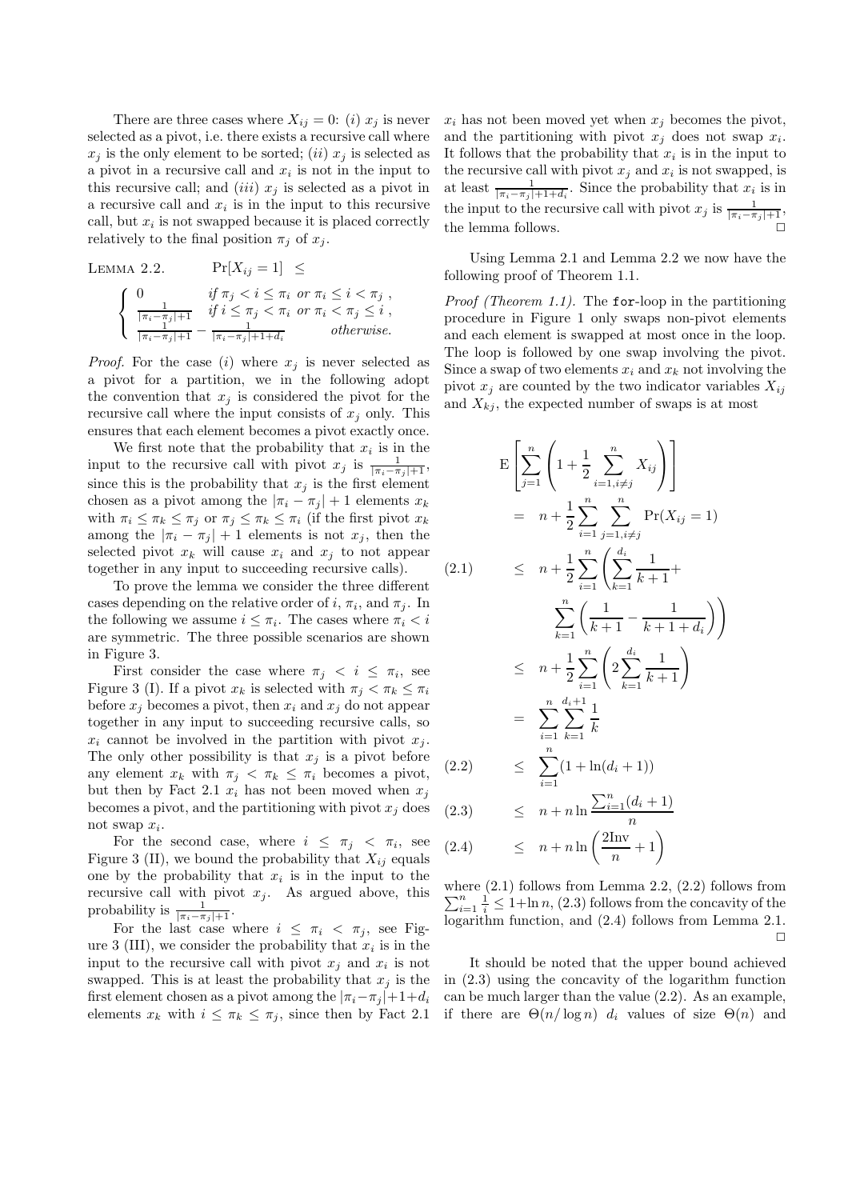There are three cases where  $X_{ij} = 0$ : (i)  $x_j$  is never selected as a pivot, i.e. there exists a recursive call where  $x_i$  is the only element to be sorted; (ii)  $x_i$  is selected as a pivot in a recursive call and  $x_i$  is not in the input to this recursive call; and *(iii)*  $x_j$  is selected as a pivot in a recursive call and  $x_i$  is in the input to this recursive call, but  $x_i$  is not swapped because it is placed correctly relatively to the final position  $\pi_j$  of  $x_j$ .

LEMMA 2.2. 
$$
\Pr[X_{ij} = 1] \le
$$
  

$$
\begin{cases} 0 & \text{if } \pi_j < i \le \pi_i \text{ or } \pi_i \le i < \pi_j ,\\ \frac{1}{|\pi_i - \pi_j| + 1} & \text{if } i \le \pi_j < \pi_i \text{ or } \pi_i < \pi_j \le i ,\\ \frac{1}{|\pi_i - \pi_j| + 1} - \frac{1}{|\pi_i - \pi_j| + 1 + d_i} & \text{otherwise.} \end{cases}
$$

*Proof.* For the case (i) where  $x_j$  is never selected as a pivot for a partition, we in the following adopt the convention that  $x_j$  is considered the pivot for the recursive call where the input consists of  $x_i$  only. This ensures that each element becomes a pivot exactly once.

We first note that the probability that  $x_i$  is in the input to the recursive call with pivot  $x_j$  is  $\frac{1}{|\pi_i - \pi_j|+1}$ , since this is the probability that  $x_j$  is the first element chosen as a pivot among the  $|\pi_i - \pi_j| + 1$  elements  $x_k$ with  $\pi_i \leq \pi_k \leq \pi_j$  or  $\pi_j \leq \pi_k \leq \pi_i$  (if the first pivot  $x_k$ among the  $|\pi_i - \pi_j| + 1$  elements is not  $x_j$ , then the selected pivot  $x_k$  will cause  $x_i$  and  $x_j$  to not appear together in any input to succeeding recursive calls).

To prove the lemma we consider the three different cases depending on the relative order of i,  $\pi_i$ , and  $\pi_j$ . In the following we assume  $i \leq \pi_i$ . The cases where  $\pi_i < i$ are symmetric. The three possible scenarios are shown in Figure 3.

First consider the case where  $\pi_j \leq i \leq \pi_i$ , see Figure 3 (I). If a pivot  $x_k$  is selected with  $\pi_j < \pi_k \leq \pi_i$ before  $x_i$  becomes a pivot, then  $x_i$  and  $x_j$  do not appear together in any input to succeeding recursive calls, so  $x_i$  cannot be involved in the partition with pivot  $x_i$ . The only other possibility is that  $x_i$  is a pivot before any element  $x_k$  with  $\pi_i < \pi_k \leq \pi_i$  becomes a pivot, but then by Fact 2.1  $x_i$  has not been moved when  $x_j$ becomes a pivot, and the partitioning with pivot  $x_i$  does not swap  $x_i$ .

For the second case, where  $i \leq \pi_j < \pi_i$ , see Figure 3 (II), we bound the probability that  $X_{ii}$  equals one by the probability that  $x_i$  is in the input to the recursive call with pivot  $x_j$ . As argued above, this probability is  $\frac{1}{|\pi_i - \pi_j| + 1}$ .

For the last case where  $i \leq \pi_i < \pi_j$ , see Figure 3 (III), we consider the probability that  $x_i$  is in the input to the recursive call with pivot  $x_j$  and  $x_i$  is not swapped. This is at least the probability that  $x_i$  is the first element chosen as a pivot among the  $|\pi_i-\pi_j|+1+d_i$ elements  $x_k$  with  $i \leq \pi_k \leq \pi_j$ , since then by Fact 2.1  $x_i$  has not been moved yet when  $x_j$  becomes the pivot, and the partitioning with pivot  $x_j$  does not swap  $x_i$ . It follows that the probability that  $x_i$  is in the input to the recursive call with pivot  $x_j$  and  $x_i$  is not swapped, is at least  $\frac{1}{|\pi_i - \pi_j| + 1 + d_i}$ . Since the probability that  $x_i$  is in the input to the recursive call with pivot  $x_j$  is  $\frac{1}{|\pi_i - \pi_j|+1}$ , the lemma follows.

Using Lemma 2.1 and Lemma 2.2 we now have the following proof of Theorem 1.1.

*Proof (Theorem 1.1)*. The for-loop in the partitioning procedure in Figure 1 only swaps non-pivot elements and each element is swapped at most once in the loop. The loop is followed by one swap involving the pivot. Since a swap of two elements  $x_i$  and  $x_k$  not involving the pivot  $x_i$  are counted by the two indicator variables  $X_{ij}$ and  $X_{kj}$ , the expected number of swaps is at most

$$
E\left[\sum_{j=1}^{n} \left(1 + \frac{1}{2} \sum_{i=1, i \neq j}^{n} X_{ij}\right)\right]
$$
  
\n
$$
= n + \frac{1}{2} \sum_{i=1}^{n} \sum_{j=1, i \neq j}^{n} Pr(X_{ij} = 1)
$$
  
\n(2.1) 
$$
\leq n + \frac{1}{2} \sum_{i=1}^{n} \left(\sum_{k=1}^{d_i} \frac{1}{k+1} + \sum_{k=1}^{n} \left(\frac{1}{k+1} - \frac{1}{k+1+d_i}\right)\right)
$$
  
\n
$$
\leq n + \frac{1}{2} \sum_{i=1}^{n} \left(2 \sum_{k=1}^{d_i} \frac{1}{k+1}\right)
$$
  
\n
$$
= \sum_{i=1}^{n} \sum_{k=1}^{d_i+1} \frac{1}{k}
$$
  
\n(2.2) 
$$
\leq \sum_{i=1}^{n} (1 + \ln(d_i + 1))
$$
  
\n(2.3) 
$$
\leq n + n \ln \frac{\sum_{i=1}^{n} (d_i + 1)}{n}
$$
  
\n(2.4) 
$$
\leq n + n \ln \left(\frac{2\ln v}{n} + 1\right)
$$

where (2.1) follows from Lemma 2.2, (2.2) follows from  $\sum_{i=1}^{n} \frac{1}{i} \leq 1 + \ln n$ , (2.3) follows from the concavity of the logarithm function, and (2.4) follows from Lemma 2.1. ✷

It should be noted that the upper bound achieved in (2.3) using the concavity of the logarithm function can be much larger than the value (2.2). As an example, if there are  $\Theta(n/\log n)$  d<sub>i</sub> values of size  $\Theta(n)$  and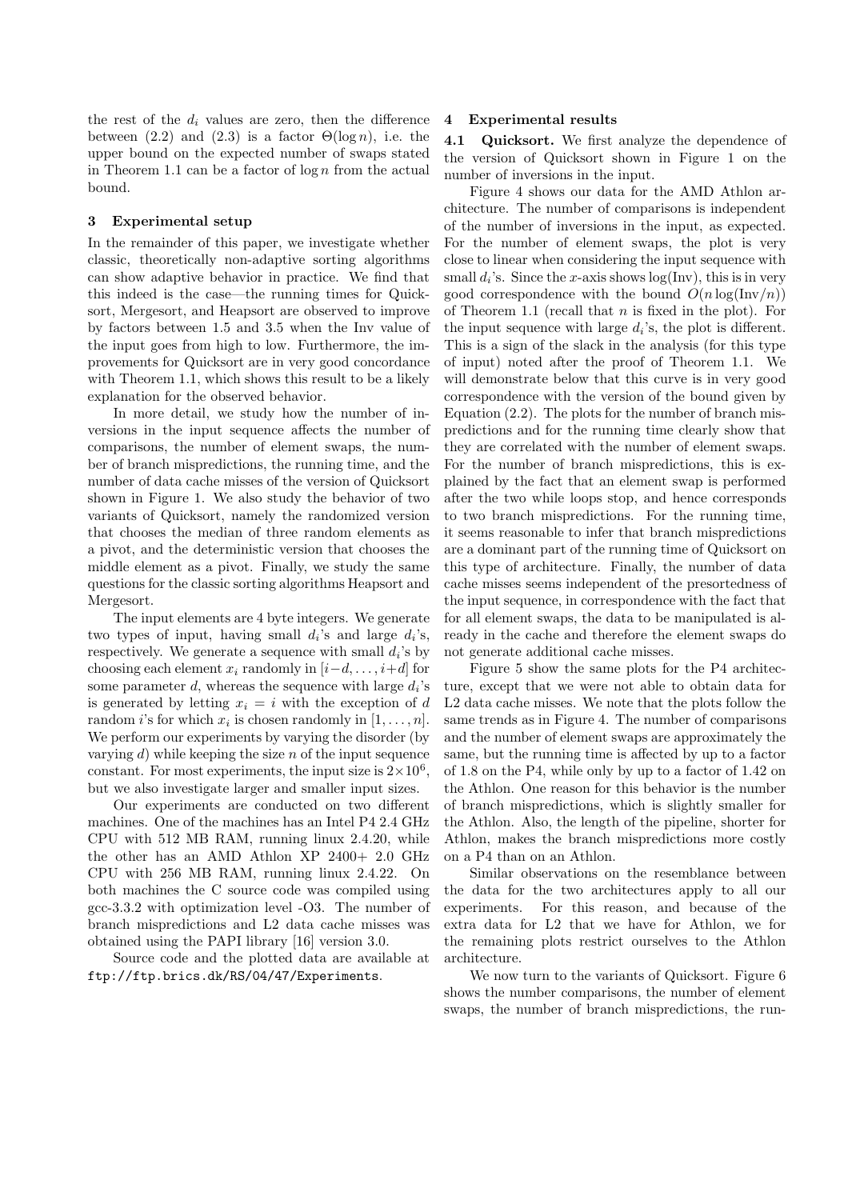the rest of the  $d_i$  values are zero, then the difference between (2.2) and (2.3) is a factor  $\Theta(\log n)$ , i.e. the upper bound on the expected number of swaps stated in Theorem 1.1 can be a factor of  $\log n$  from the actual bound.

#### 3 Experimental setup

In the remainder of this paper, we investigate whether classic, theoretically non-adaptive sorting algorithms can show adaptive behavior in practice. We find that this indeed is the case—the running times for Quicksort, Mergesort, and Heapsort are observed to improve by factors between 1.5 and 3.5 when the Inv value of the input goes from high to low. Furthermore, the improvements for Quicksort are in very good concordance with Theorem 1.1, which shows this result to be a likely explanation for the observed behavior.

In more detail, we study how the number of inversions in the input sequence affects the number of comparisons, the number of element swaps, the number of branch mispredictions, the running time, and the number of data cache misses of the version of Quicksort shown in Figure 1. We also study the behavior of two variants of Quicksort, namely the randomized version that chooses the median of three random elements as a pivot, and the deterministic version that chooses the middle element as a pivot. Finally, we study the same questions for the classic sorting algorithms Heapsort and Mergesort.

The input elements are 4 byte integers. We generate two types of input, having small  $d_i$ 's and large  $d_i$ 's, respectively. We generate a sequence with small  $d_i$ 's by choosing each element  $x_i$  randomly in  $[i-d, \ldots, i+d]$  for some parameter  $d$ , whereas the sequence with large  $d_i$ 's is generated by letting  $x_i = i$  with the exception of d random *i*'s for which  $x_i$  is chosen randomly in  $[1, \ldots, n]$ . We perform our experiments by varying the disorder (by varying  $d$ ) while keeping the size  $n$  of the input sequence constant. For most experiments, the input size is  $2 \times 10^6$ , but we also investigate larger and smaller input sizes.

Our experiments are conducted on two different machines. One of the machines has an Intel P4 2.4 GHz CPU with 512 MB RAM, running linux 2.4.20, while the other has an AMD Athlon XP 2400+ 2.0 GHz CPU with 256 MB RAM, running linux 2.4.22. On both machines the C source code was compiled using gcc-3.3.2 with optimization level -O3. The number of branch mispredictions and L2 data cache misses was obtained using the PAPI library [16] version 3.0.

Source code and the plotted data are available at ftp://ftp.brics.dk/RS/04/47/Experiments.

## 4 Experimental results

4.1 Quicksort. We first analyze the dependence of the version of Quicksort shown in Figure 1 on the number of inversions in the input.

Figure 4 shows our data for the AMD Athlon architecture. The number of comparisons is independent of the number of inversions in the input, as expected. For the number of element swaps, the plot is very close to linear when considering the input sequence with small  $d_i$ 's. Since the x-axis shows  $log(Inv)$ , this is in very good correspondence with the bound  $O(n \log(\text{Inv}/n))$ of Theorem 1.1 (recall that  $n$  is fixed in the plot). For the input sequence with large  $d_i$ 's, the plot is different. This is a sign of the slack in the analysis (for this type of input) noted after the proof of Theorem 1.1. We will demonstrate below that this curve is in very good correspondence with the version of the bound given by Equation (2.2). The plots for the number of branch mispredictions and for the running time clearly show that they are correlated with the number of element swaps. For the number of branch mispredictions, this is explained by the fact that an element swap is performed after the two while loops stop, and hence corresponds to two branch mispredictions. For the running time, it seems reasonable to infer that branch mispredictions are a dominant part of the running time of Quicksort on this type of architecture. Finally, the number of data cache misses seems independent of the presortedness of the input sequence, in correspondence with the fact that for all element swaps, the data to be manipulated is already in the cache and therefore the element swaps do not generate additional cache misses.

Figure 5 show the same plots for the P4 architecture, except that we were not able to obtain data for L2 data cache misses. We note that the plots follow the same trends as in Figure 4. The number of comparisons and the number of element swaps are approximately the same, but the running time is affected by up to a factor of 1.8 on the P4, while only by up to a factor of 1.42 on the Athlon. One reason for this behavior is the number of branch mispredictions, which is slightly smaller for the Athlon. Also, the length of the pipeline, shorter for Athlon, makes the branch mispredictions more costly on a P4 than on an Athlon.

Similar observations on the resemblance between the data for the two architectures apply to all our experiments. For this reason, and because of the extra data for L2 that we have for Athlon, we for the remaining plots restrict ourselves to the Athlon architecture.

We now turn to the variants of Quicksort. Figure 6 shows the number comparisons, the number of element swaps, the number of branch mispredictions, the run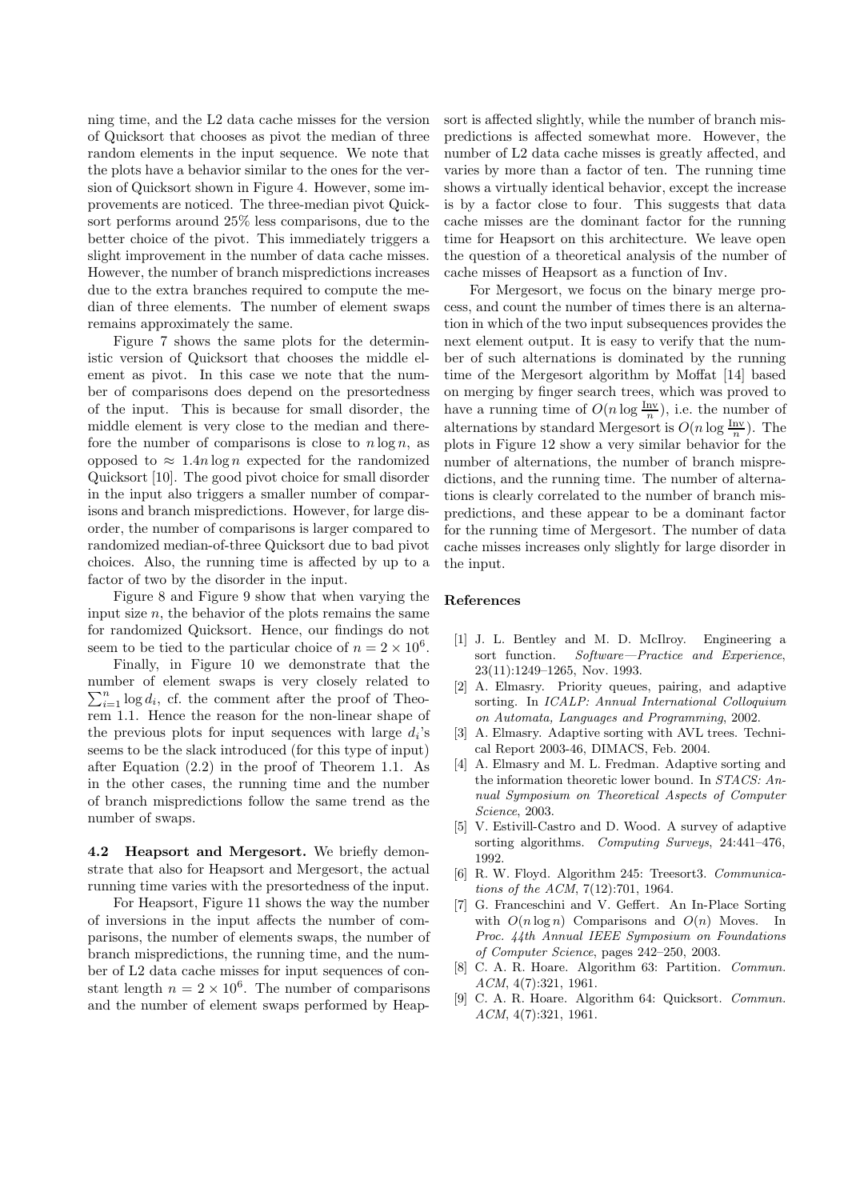ning time, and the L2 data cache misses for the version of Quicksort that chooses as pivot the median of three random elements in the input sequence. We note that the plots have a behavior similar to the ones for the version of Quicksort shown in Figure 4. However, some improvements are noticed. The three-median pivot Quicksort performs around 25% less comparisons, due to the better choice of the pivot. This immediately triggers a slight improvement in the number of data cache misses. However, the number of branch mispredictions increases due to the extra branches required to compute the median of three elements. The number of element swaps remains approximately the same.

Figure 7 shows the same plots for the deterministic version of Quicksort that chooses the middle element as pivot. In this case we note that the number of comparisons does depend on the presortedness of the input. This is because for small disorder, the middle element is very close to the median and therefore the number of comparisons is close to  $n \log n$ , as opposed to  $\approx 1.4n \log n$  expected for the randomized Quicksort [10]. The good pivot choice for small disorder in the input also triggers a smaller number of comparisons and branch mispredictions. However, for large disorder, the number of comparisons is larger compared to randomized median-of-three Quicksort due to bad pivot choices. Also, the running time is affected by up to a factor of two by the disorder in the input.

Figure 8 and Figure 9 show that when varying the input size  $n$ , the behavior of the plots remains the same for randomized Quicksort. Hence, our findings do not seem to be tied to the particular choice of  $n = 2 \times 10^6$ .

Finally, in Figure 10 we demonstrate that the number of element swaps is very closely related to  $\sum_{i=1}^{n} \log d_i$ , cf. the comment after the proof of Theorem 1.1. Hence the reason for the non-linear shape of the previous plots for input sequences with large  $d_i$ 's seems to be the slack introduced (for this type of input) after Equation (2.2) in the proof of Theorem 1.1. As in the other cases, the running time and the number of branch mispredictions follow the same trend as the number of swaps.

4.2 Heapsort and Mergesort. We briefly demonstrate that also for Heapsort and Mergesort, the actual running time varies with the presortedness of the input.

For Heapsort, Figure 11 shows the way the number of inversions in the input affects the number of comparisons, the number of elements swaps, the number of branch mispredictions, the running time, and the number of L2 data cache misses for input sequences of constant length  $n = 2 \times 10^6$ . The number of comparisons and the number of element swaps performed by Heapsort is affected slightly, while the number of branch mispredictions is affected somewhat more. However, the number of L2 data cache misses is greatly affected, and varies by more than a factor of ten. The running time shows a virtually identical behavior, except the increase is by a factor close to four. This suggests that data cache misses are the dominant factor for the running time for Heapsort on this architecture. We leave open the question of a theoretical analysis of the number of cache misses of Heapsort as a function of Inv.

For Mergesort, we focus on the binary merge process, and count the number of times there is an alternation in which of the two input subsequences provides the next element output. It is easy to verify that the number of such alternations is dominated by the running time of the Mergesort algorithm by Moffat [14] based on merging by finger search trees, which was proved to have a running time of  $O(n \log \frac{\text{Inv}}{n})$ , i.e. the number of alternations by standard Mergesort is  $O(n \log \frac{\text{Inv}}{n})$ . The plots in Figure 12 show a very similar behavior for the number of alternations, the number of branch mispredictions, and the running time. The number of alternations is clearly correlated to the number of branch mispredictions, and these appear to be a dominant factor for the running time of Mergesort. The number of data cache misses increases only slightly for large disorder in the input.

### References

- [1] J. L. Bentley and M. D. McIlroy. Engineering a sort function. Software—Practice and Experience, 23(11):1249–1265, Nov. 1993.
- [2] A. Elmasry. Priority queues, pairing, and adaptive sorting. In ICALP: Annual International Colloquium on Automata, Languages and Programming, 2002.
- [3] A. Elmasry. Adaptive sorting with AVL trees. Technical Report 2003-46, DIMACS, Feb. 2004.
- [4] A. Elmasry and M. L. Fredman. Adaptive sorting and the information theoretic lower bound. In STACS: Annual Symposium on Theoretical Aspects of Computer Science, 2003.
- [5] V. Estivill-Castro and D. Wood. A survey of adaptive sorting algorithms. Computing Surveys, 24:441–476, 1992.
- [6] R. W. Floyd. Algorithm 245: Treesort3. Communications of the ACM, 7(12):701, 1964.
- [7] G. Franceschini and V. Geffert. An In-Place Sorting with  $O(n \log n)$  Comparisons and  $O(n)$  Moves. In Proc. 44th Annual IEEE Symposium on Foundations of Computer Science, pages 242–250, 2003.
- [8] C. A. R. Hoare. Algorithm 63: Partition. Commun. ACM, 4(7):321, 1961.
- [9] C. A. R. Hoare. Algorithm 64: Quicksort. Commun. ACM, 4(7):321, 1961.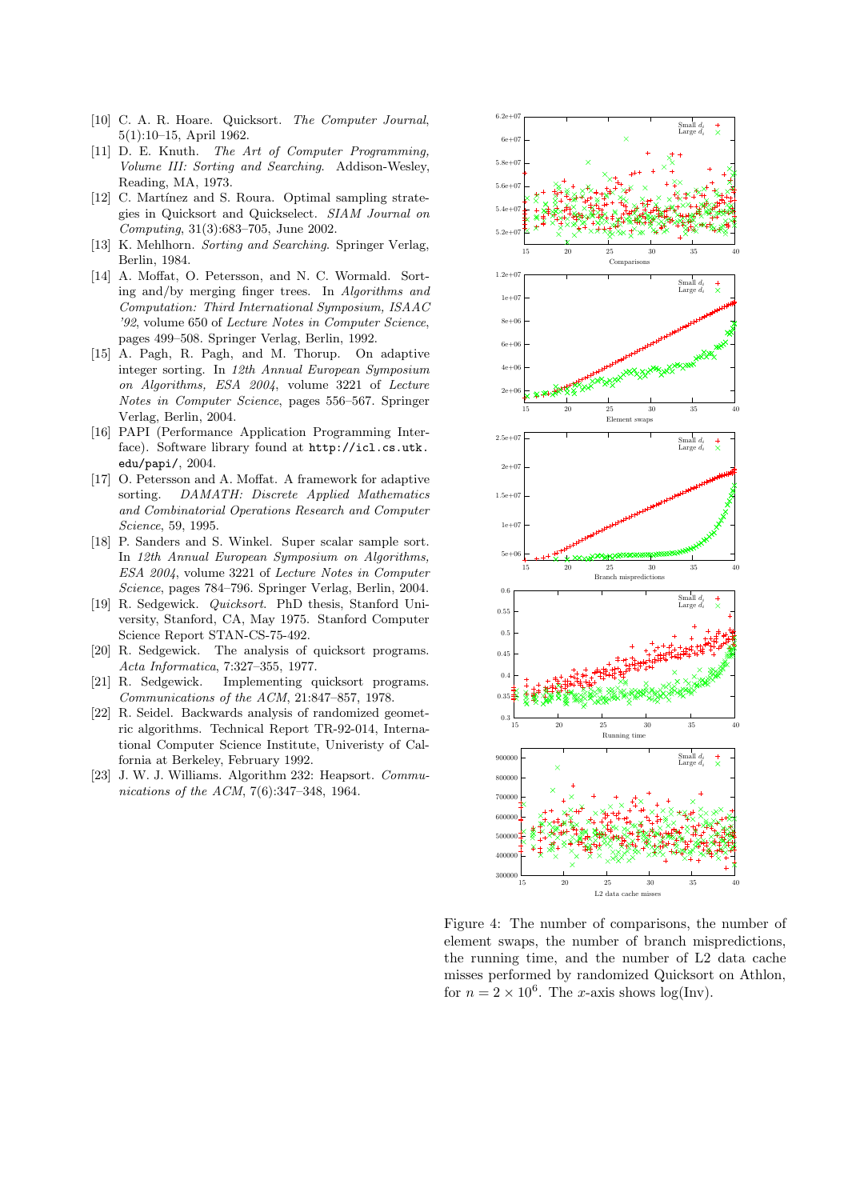- [10] C. A. R. Hoare. Quicksort. The Computer Journal, 5(1):10–15, April 1962.
- [11] D. E. Knuth. The Art of Computer Programming. Volume III: Sorting and Searching. Addison-Wesley, Reading, MA, 1973.
- [12] C. Martínez and S. Roura. Optimal sampling strategies in Quicksort and Quickselect. SIAM Journal on Computing, 31(3):683–705, June 2002.
- [13] K. Mehlhorn. Sorting and Searching. Springer Verlag, Berlin, 1984.
- [14] A. Moffat, O. Petersson, and N. C. Wormald. Sorting and/by merging finger trees. In Algorithms and Computation: Third International Symposium, ISAAC '92, volume 650 of Lecture Notes in Computer Science, pages 499–508. Springer Verlag, Berlin, 1992.
- [15] A. Pagh, R. Pagh, and M. Thorup. On adaptive integer sorting. In 12th Annual European Symposium on Algorithms, ESA 2004, volume 3221 of Lecture Notes in Computer Science, pages 556–567. Springer Verlag, Berlin, 2004.
- [16] PAPI (Performance Application Programming Interface). Software library found at http://icl.cs.utk. edu/papi/, 2004.
- [17] O. Petersson and A. Moffat. A framework for adaptive sorting. DAMATH: Discrete Applied Mathematics and Combinatorial Operations Research and Computer Science, 59, 1995.
- [18] P. Sanders and S. Winkel. Super scalar sample sort. In 12th Annual European Symposium on Algorithms, ESA 2004, volume 3221 of Lecture Notes in Computer Science, pages 784–796. Springer Verlag, Berlin, 2004.
- [19] R. Sedgewick. Quicksort. PhD thesis, Stanford University, Stanford, CA, May 1975. Stanford Computer Science Report STAN-CS-75-492.
- [20] R. Sedgewick. The analysis of quicksort programs. Acta Informatica, 7:327–355, 1977.
- [21] R. Sedgewick. Implementing quicksort programs. Communications of the ACM, 21:847–857, 1978.
- [22] R. Seidel. Backwards analysis of randomized geometric algorithms. Technical Report TR-92-014, International Computer Science Institute, Univeristy of Calfornia at Berkeley, February 1992.
- [23] J. W. J. Williams. Algorithm 232: Heapsort. Communications of the ACM, 7(6):347–348, 1964.



Figure 4: The number of comparisons, the number of element swaps, the number of branch mispredictions, the running time, and the number of L2 data cache misses performed by randomized Quicksort on Athlon, for  $n = 2 \times 10^6$ . The *x*-axis shows log(Inv).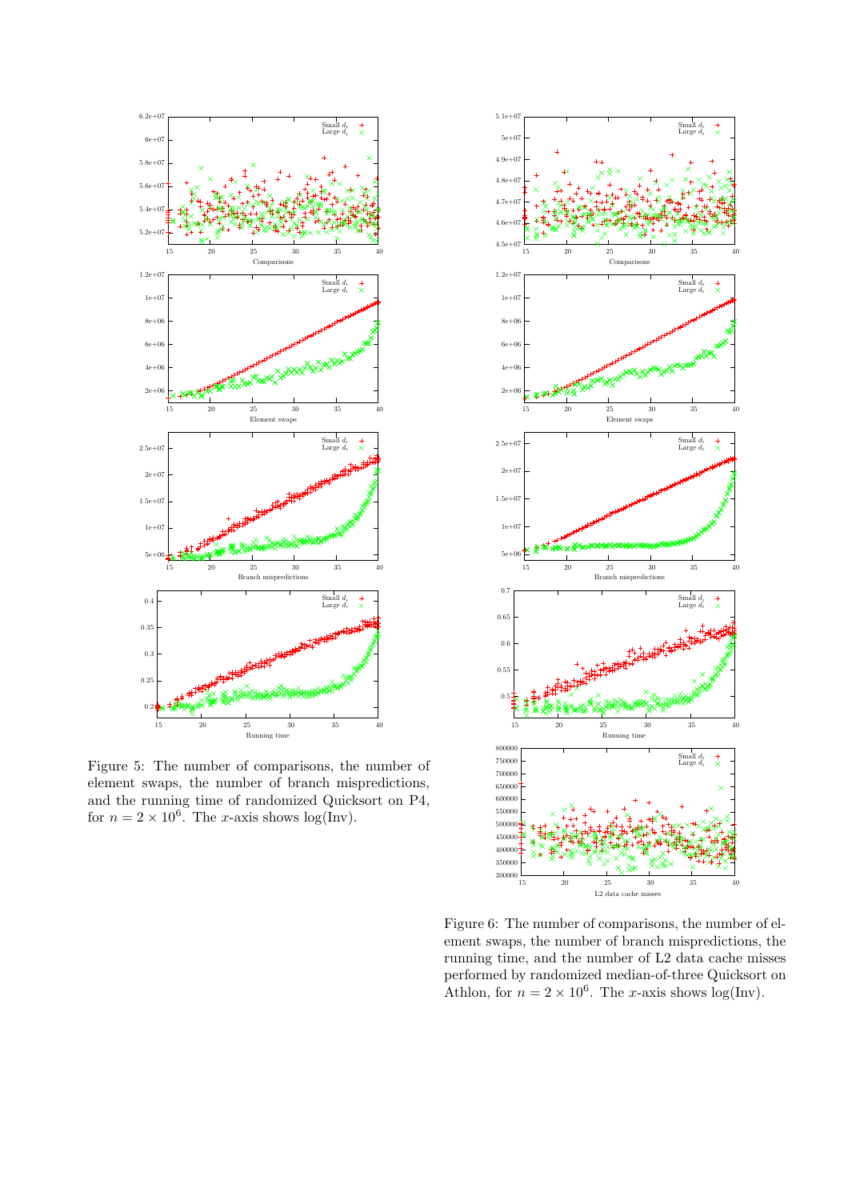

Figure 5: The number of comparisons, the number of element swaps, the number of branch mispredictions, and the running time of randomized Quicksort on P4, for  $n = 2 \times 10^6$ . The *x*-axis shows log(Inv).



Figure 6: The number of comparisons, the number of element swaps, the number of branch mispredictions, the running time, and the number of L2 data cache misses performed by randomized median-of-three Quicksort on Athlon, for  $n = 2 \times 10^6$ . The *x*-axis shows log(Inv).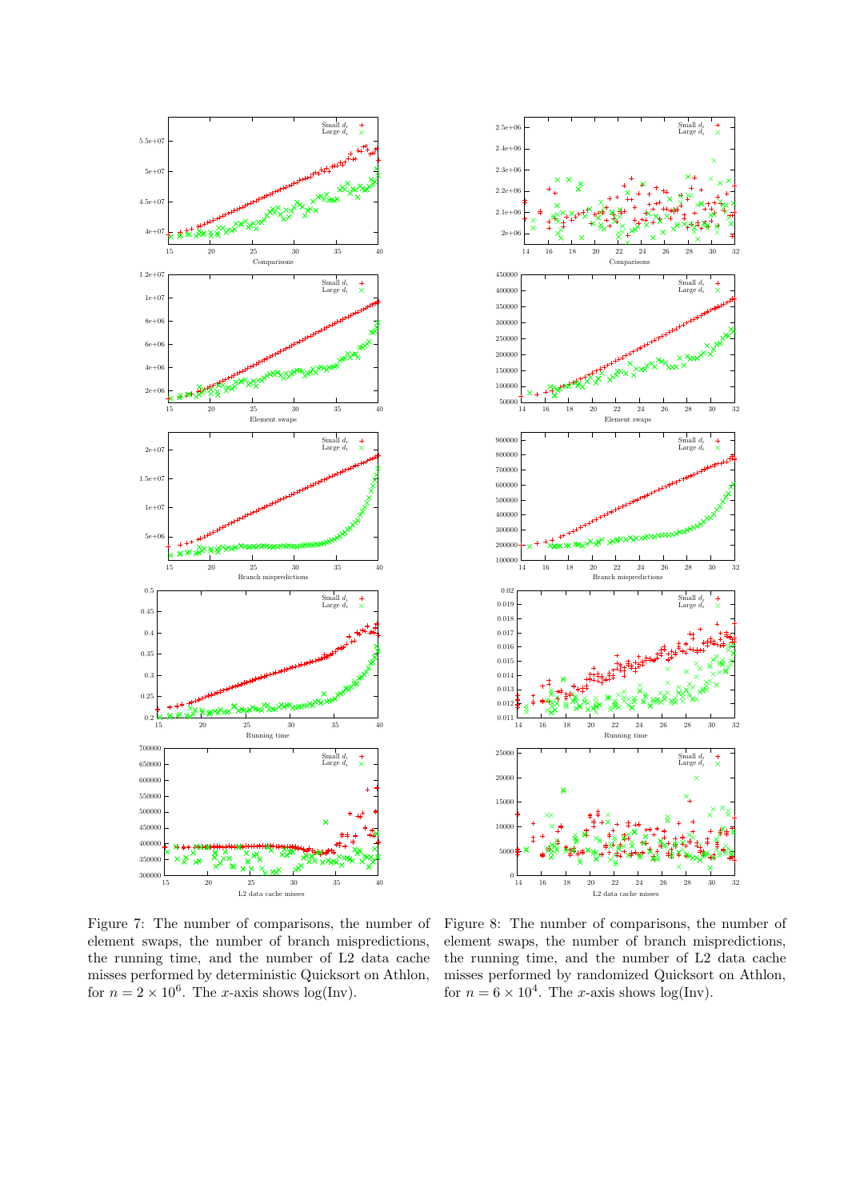



Figure 7: The number of comparisons, the number of element swaps, the number of branch mispredictions, the running time, and the number of L2 data cache misses performed by deterministic Quicksort on Athlon, for  $n = 2 \times 10^6$ . The *x*-axis shows log(Inv).

Figure 8: The number of comparisons, the number of element swaps, the number of branch mispredictions, the running time, and the number of L2 data cache misses performed by randomized Quicksort on Athlon, for  $n = 6 \times 10^4$ . The *x*-axis shows log(Inv).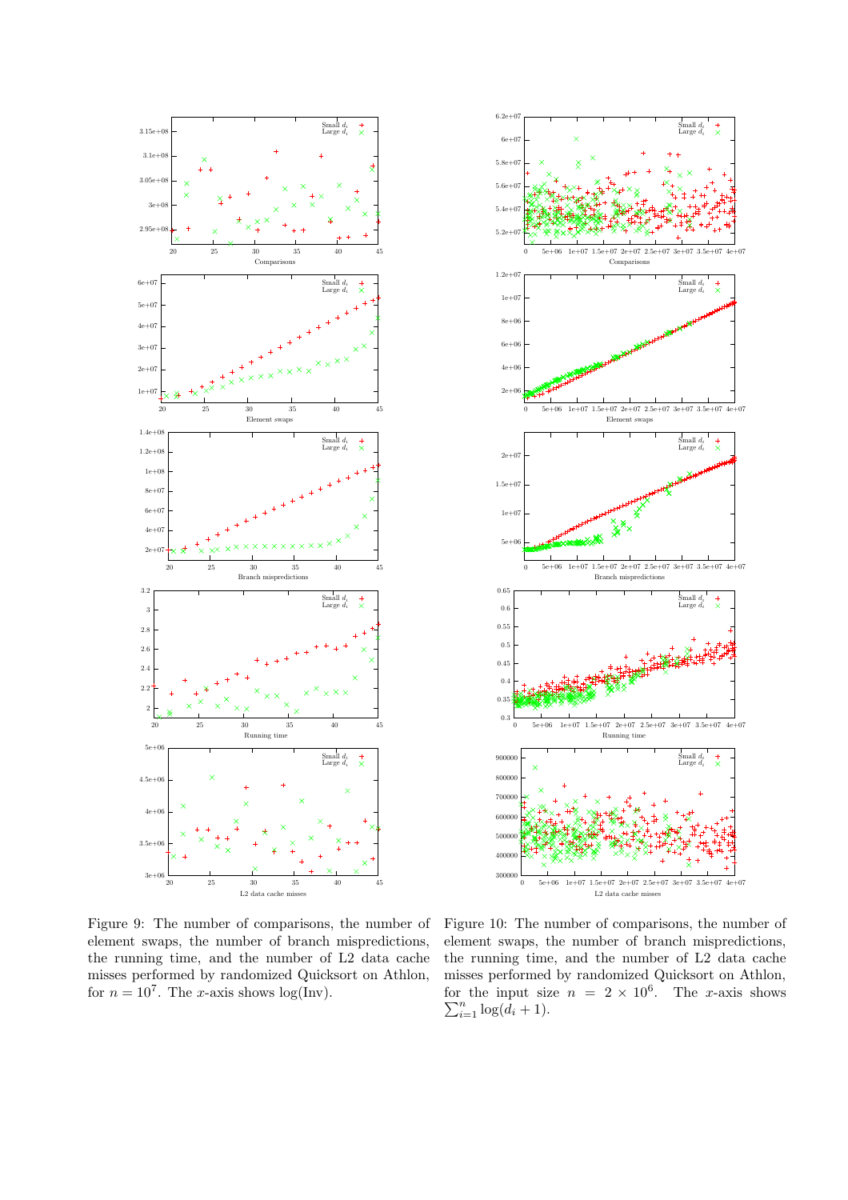



Figure 9: The number of comparisons, the number of element swaps, the number of branch mispredictions, the running time, and the number of L2 data cache misses performed by randomized Quicksort on Athlon, for  $n = 10^7$ . The *x*-axis shows log(Inv).

Figure 10: The number of comparisons, the number of element swaps, the number of branch mispredictions, the running time, and the number of L2 data cache misses performed by randomized Quicksort on Athlon, for the input size  $n = 2 \times 10^6$ . The *x*-axis shows  $\sum_{i=1}^{n} \log(d_i + 1)$ .  $_{i=1}^{n} \log(\dot{d}_i + 1).$